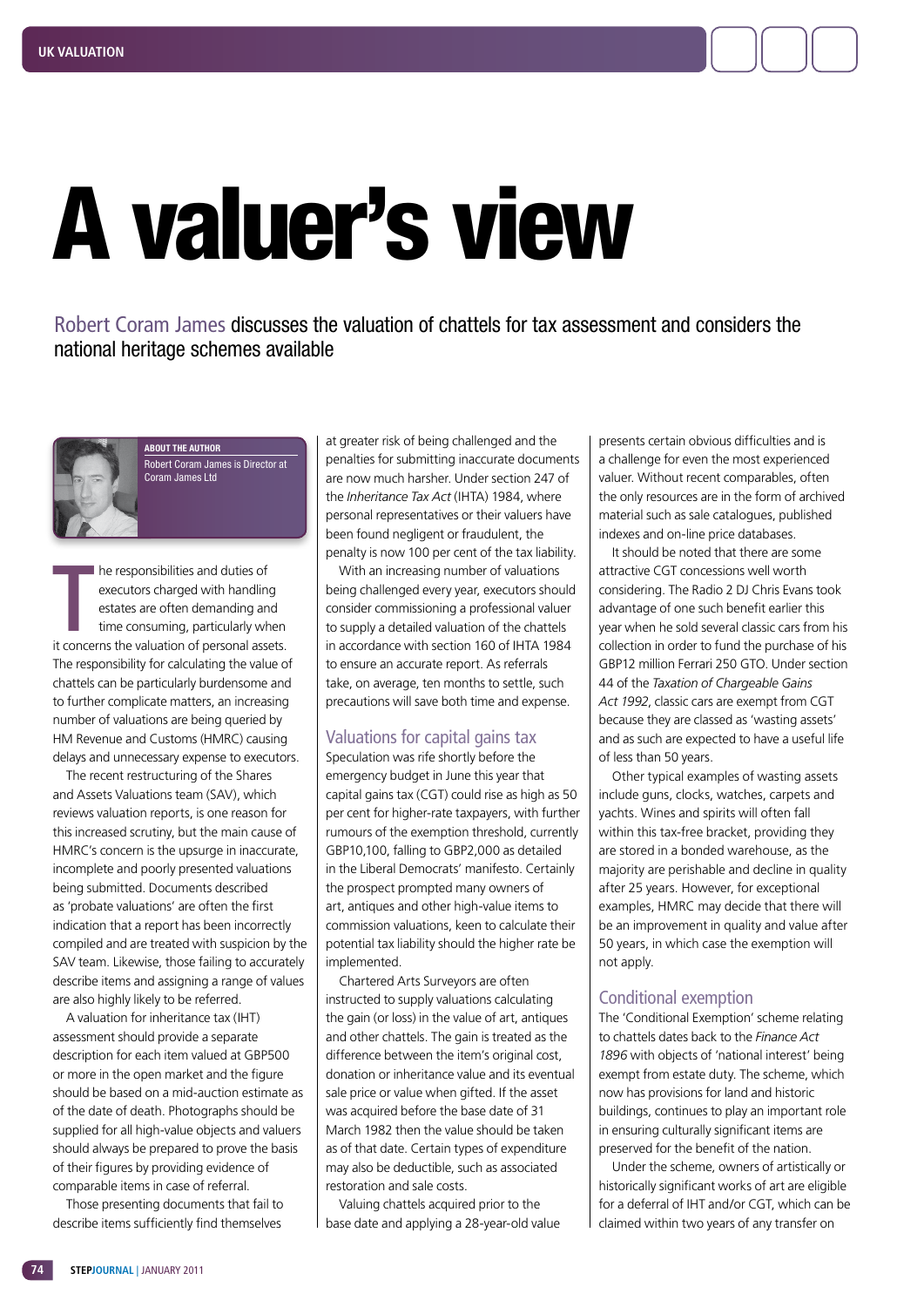# A valuer's view

Robert Coram James discusses the valuation of chattels for tax assessment and considers the national heritage schemes available



**ABOUT THE AUTHOR** Robert Coram James is Director at Coram James Ltd

T he responsibilities and duties of executors charged with handling estates are often demanding and time consuming, particularly when it concerns the valuation of personal assets. The responsibility for calculating the value of chattels can be particularly burdensome and to further complicate matters, an increasing number of valuations are being queried by HM Revenue and Customs (HMRC) causing delays and unnecessary expense to executors.

The recent restructuring of the Shares and Assets Valuations team (SAV), which reviews valuation reports, is one reason for this increased scrutiny, but the main cause of HMRC's concern is the upsurge in inaccurate, incomplete and poorly presented valuations being submitted. Documents described as 'probate valuations' are often the first indication that a report has been incorrectly compiled and are treated with suspicion by the SAV team. Likewise, those failing to accurately describe items and assigning a range of values are also highly likely to be referred.

A valuation for inheritance tax (IHT) assessment should provide a separate description for each item valued at GBP500 or more in the open market and the figure should be based on a mid-auction estimate as of the date of death. Photographs should be supplied for all high-value objects and valuers should always be prepared to prove the basis of their figures by providing evidence of comparable items in case of referral.

Those presenting documents that fail to describe items sufficiently find themselves

at greater risk of being challenged and the penalties for submitting inaccurate documents are now much harsher. Under section 247 of the *Inheritance Tax Act* (IHTA) 1984, where personal representatives or their valuers have been found negligent or fraudulent, the penalty is now 100 per cent of the tax liability.

With an increasing number of valuations being challenged every year, executors should consider commissioning a professional valuer to supply a detailed valuation of the chattels in accordance with section 160 of IHTA 1984 to ensure an accurate report. As referrals take, on average, ten months to settle, such precautions will save both time and expense.

# Valuations for capital gains tax

Speculation was rife shortly before the emergency budget in June this year that capital gains tax (CGT) could rise as high as 50 per cent for higher-rate taxpayers, with further rumours of the exemption threshold, currently GBP10,100, falling to GBP2,000 as detailed in the Liberal Democrats' manifesto. Certainly the prospect prompted many owners of art, antiques and other high-value items to commission valuations, keen to calculate their potential tax liability should the higher rate be implemented.

Chartered Arts Surveyors are often instructed to supply valuations calculating the gain (or loss) in the value of art, antiques and other chattels. The gain is treated as the difference between the item's original cost, donation or inheritance value and its eventual sale price or value when gifted. If the asset was acquired before the base date of 31 March 1982 then the value should be taken as of that date. Certain types of expenditure may also be deductible, such as associated restoration and sale costs.

Valuing chattels acquired prior to the base date and applying a 28-year-old value

presents certain obvious difficulties and is a challenge for even the most experienced valuer. Without recent comparables, often the only resources are in the form of archived material such as sale catalogues, published indexes and on-line price databases.

It should be noted that there are some attractive CGT concessions well worth considering. The Radio 2 DJ Chris Evans took advantage of one such benefit earlier this year when he sold several classic cars from his collection in order to fund the purchase of his GBP12 million Ferrari 250 GTO. Under section 44 of the *Taxation of Chargeable Gains Act 1992*, classic cars are exempt from CGT because they are classed as 'wasting assets' and as such are expected to have a useful life of less than 50 years.

Other typical examples of wasting assets include guns, clocks, watches, carpets and yachts. Wines and spirits will often fall within this tax-free bracket, providing they are stored in a bonded warehouse, as the majority are perishable and decline in quality after 25 years. However, for exceptional examples, HMRC may decide that there will be an improvement in quality and value after 50 years, in which case the exemption will not apply.

## Conditional exemption

The 'Conditional Exemption' scheme relating to chattels dates back to the *Finance Act 1896* with objects of 'national interest' being exempt from estate duty. The scheme, which now has provisions for land and historic buildings, continues to play an important role in ensuring culturally significant items are preserved for the benefit of the nation.

Under the scheme, owners of artistically or historically significant works of art are eligible for a deferral of IHT and/or CGT, which can be claimed within two years of any transfer on